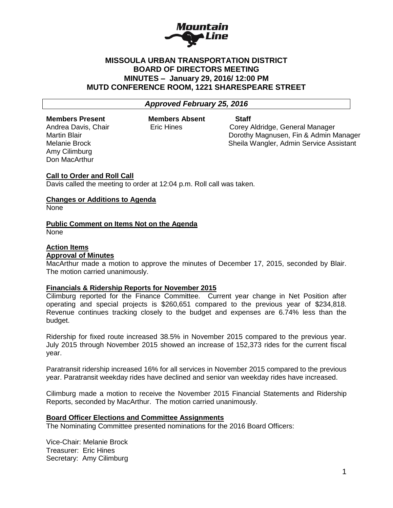

## **MISSOULA URBAN TRANSPORTATION DISTRICT BOARD OF DIRECTORS MEETING MINUTES – January 29, 2016/ 12:00 PM MUTD CONFERENCE ROOM, 1221 SHARESPEARE STREET**

## *Approved February 25, 2016*

### **Members Present Members Absent Staff**

Amy Cilimburg Don MacArthur

Andrea Davis, Chair **Eric Hines** Corey Aldridge, General Manager Martin Blair Dorothy Magnusen, Fin & Admin Manager Melanie Brock Sheila Wangler, Admin Service Assistant

# **Call to Order and Roll Call**

Davis called the meeting to order at 12:04 p.m. Roll call was taken.

## **Changes or Additions to Agenda**

None

## **Public Comment on Items Not on the Agenda**

None

#### **Action Items Approval of Minutes**

MacArthur made a motion to approve the minutes of December 17, 2015, seconded by Blair. The motion carried unanimously.

## **Financials & Ridership Reports for November 2015**

Cilimburg reported for the Finance Committee. Current year change in Net Position after operating and special projects is \$260,651 compared to the previous year of \$234,818. Revenue continues tracking closely to the budget and expenses are 6.74% less than the budget.

Ridership for fixed route increased 38.5% in November 2015 compared to the previous year. July 2015 through November 2015 showed an increase of 152,373 rides for the current fiscal year.

Paratransit ridership increased 16% for all services in November 2015 compared to the previous year. Paratransit weekday rides have declined and senior van weekday rides have increased.

Cilimburg made a motion to receive the November 2015 Financial Statements and Ridership Reports, seconded by MacArthur. The motion carried unanimously.

## **Board Officer Elections and Committee Assignments**

The Nominating Committee presented nominations for the 2016 Board Officers:

Vice-Chair: Melanie Brock Treasurer: Eric Hines Secretary: Amy Cilimburg